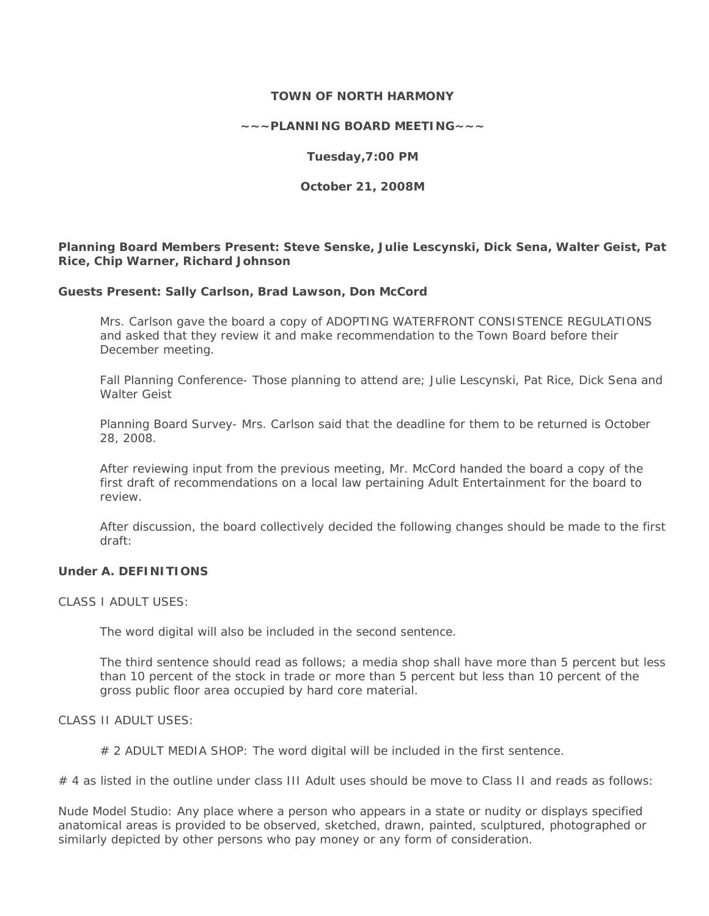## **TOWN OF NORTH HARMONY**

**~~~PLANNING BOARD MEETING~~~** 

**Tuesday,7:00 PM** 

**October 21, 2008M** 

**Planning Board Members Present: Steve Senske, Julie Lescynski, Dick Sena, Walter Geist, Pat Rice, Chip Warner, Richard Johnson** 

#### **Guests Present: Sally Carlson, Brad Lawson, Don McCord**

Mrs. Carlson gave the board a copy of *ADOPTING WATERFRONT CONSISTENCE REGULATIONS*  and asked that they review it and make recommendation to the Town Board before their December meeting.

Fall Planning Conference- Those planning to attend are; Julie Lescynski, Pat Rice, Dick Sena and Walter Geist

Planning Board Survey- Mrs. Carlson said that the deadline for them to be returned is October 28, 2008.

After reviewing input from the previous meeting, Mr. McCord handed the board a copy of the first draft of recommendations on a local law pertaining Adult Entertainment for the board to review.

After discussion, the board collectively decided the following changes should be made to the first draft:

## **Under A. DEFINITIONS**

CLASS I ADULT USES:

The word digital will also be included in the second sentence.

The third sentence should read as follows; a media shop shall have more than 5 percent but less than 10 percent of the stock in trade or more than 5 percent but less than 10 percent of the gross public floor area occupied by hard core material.

#### CLASS II ADULT USES:

# 2 ADULT MEDIA SHOP: The word digital will be included in the first sentence.

# 4 as listed in the outline under class III Adult uses should be move to Class II and reads as follows:

Nude Model Studio: Any place where a person who appears in a state or nudity or displays specified anatomical areas is provided to be observed, sketched, drawn, painted, sculptured, photographed or similarly depicted by other persons who pay money or any form of consideration.